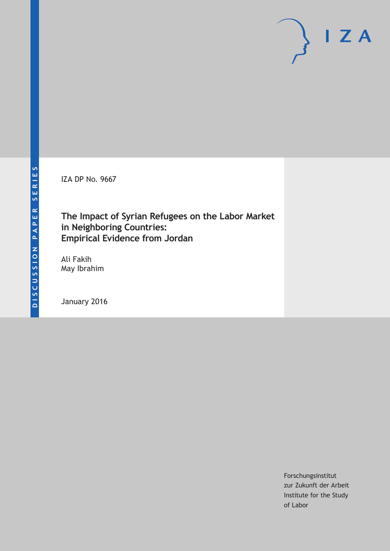IZA DP No. 9667

## **The Impact of Syrian Refugees on the Labor Market in Neighboring Countries: Empirical Evidence from Jordan**

Ali Fakih May Ibrahim

January 2016

Forschungsinstitut zur Zukunft der Arbeit Institute for the Study of Labor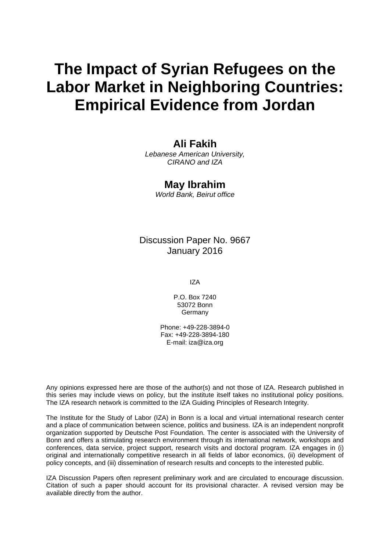# **The Impact of Syrian Refugees on the Labor Market in Neighboring Countries: Empirical Evidence from Jordan**

### **Ali Fakih**

*Lebanese American University, CIRANO and IZA* 

### **May Ibrahim**

*World Bank, Beirut office* 

Discussion Paper No. 9667 January 2016

IZA

P.O. Box 7240 53072 Bonn **Germany** 

Phone: +49-228-3894-0 Fax: +49-228-3894-180 E-mail: iza@iza.org

Any opinions expressed here are those of the author(s) and not those of IZA. Research published in this series may include views on policy, but the institute itself takes no institutional policy positions. The IZA research network is committed to the IZA Guiding Principles of Research Integrity.

The Institute for the Study of Labor (IZA) in Bonn is a local and virtual international research center and a place of communication between science, politics and business. IZA is an independent nonprofit organization supported by Deutsche Post Foundation. The center is associated with the University of Bonn and offers a stimulating research environment through its international network, workshops and conferences, data service, project support, research visits and doctoral program. IZA engages in (i) original and internationally competitive research in all fields of labor economics, (ii) development of policy concepts, and (iii) dissemination of research results and concepts to the interested public.

IZA Discussion Papers often represent preliminary work and are circulated to encourage discussion. Citation of such a paper should account for its provisional character. A revised version may be available directly from the author.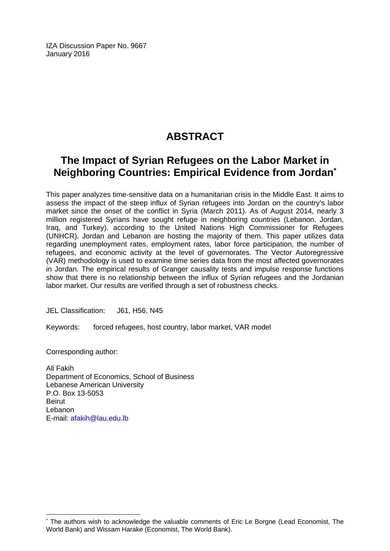IZA Discussion Paper No. 9667 January 2016

# **ABSTRACT**

# **The Impact of Syrian Refugees on the Labor Market in Neighboring Countries: Empirical Evidence from Jordan\***

This paper analyzes time-sensitive data on a humanitarian crisis in the Middle East. It aims to assess the impact of the steep influx of Syrian refugees into Jordan on the country's labor market since the onset of the conflict in Syria (March 2011). As of August 2014, nearly 3 million registered Syrians have sought refuge in neighboring countries (Lebanon, Jordan, Iraq, and Turkey), according to the United Nations High Commissioner for Refugees (UNHCR). Jordan and Lebanon are hosting the majority of them. This paper utilizes data regarding unemployment rates, employment rates, labor force participation, the number of refugees, and economic activity at the level of governorates. The Vector Autoregressive (VAR) methodology is used to examine time series data from the most affected governorates in Jordan. The empirical results of Granger causality tests and impulse response functions show that there is no relationship between the influx of Syrian refugees and the Jordanian labor market. Our results are verified through a set of robustness checks.

JEL Classification: J61, H56, N45

Keywords: forced refugees, host country, labor market, VAR model

Corresponding author:

 $\overline{a}$ 

Ali Fakih Department of Economics, School of Business Lebanese American University P.O. Box 13-5053 Beirut Lebanon E-mail: afakih@lau.edu.lb

<sup>\*</sup> The authors wish to acknowledge the valuable comments of Eric Le Borgne (Lead Economist, The World Bank) and Wissam Harake (Economist, The World Bank).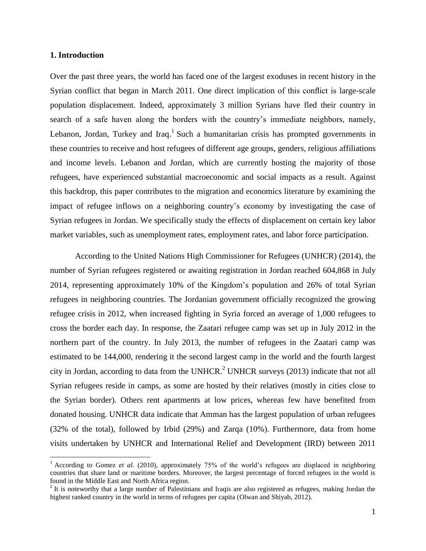#### **1. Introduction**

 $\overline{a}$ 

Over the past three years, the world has faced one of the largest exoduses in recent history in the Syrian conflict that began in March 2011. One direct implication of this conflict is large-scale population displacement. Indeed, approximately 3 million Syrians have fled their country in search of a safe haven along the borders with the country's immediate neighbors, namely, Lebanon, Jordan, Turkey and Iraq.<sup>1</sup> Such a humanitarian crisis has prompted governments in these countries to receive and host refugees of different age groups, genders, religious affiliations and income levels. Lebanon and Jordan, which are currently hosting the majority of those refugees, have experienced substantial macroeconomic and social impacts as a result. Against this backdrop, this paper contributes to the migration and economics literature by examining the impact of refugee inflows on a neighboring country's economy by investigating the case of Syrian refugees in Jordan. We specifically study the effects of displacement on certain key labor market variables, such as unemployment rates, employment rates, and labor force participation.

According to the United Nations High Commissioner for Refugees (UNHCR) (2014), the number of Syrian refugees registered or awaiting registration in Jordan reached 604,868 in July 2014, representing approximately 10% of the Kingdom's population and 26% of total Syrian refugees in neighboring countries. The Jordanian government officially recognized the growing refugee crisis in 2012, when increased fighting in Syria forced an average of 1,000 refugees to cross the border each day. In response, the Zaatari refugee camp was set up in July 2012 in the northern part of the country. In July 2013, the number of refugees in the Zaatari camp was estimated to be 144,000, rendering it the second largest camp in the world and the fourth largest city in Jordan, according to data from the UNHCR.<sup>2</sup> UNHCR surveys (2013) indicate that not all Syrian refugees reside in camps, as some are hosted by their relatives (mostly in cities close to the Syrian border). Others rent apartments at low prices, whereas few have benefited from donated housing. UNHCR data indicate that Amman has the largest population of urban refugees (32% of the total), followed by Irbid (29%) and Zarqa (10%). Furthermore, data from home visits undertaken by UNHCR and International Relief and Development (IRD) between 2011

<sup>&</sup>lt;sup>1</sup> According to Gomez *et al.* (2010), approximately 75% of the world's refugees are displaced in neighboring countries that share land or maritime borders. Moreover, the largest percentage of forced refugees in the world is found in the Middle East and North Africa region.

 $2$  It is noteworthy that a large number of Palestinians and Iraqis are also registered as refugees, making Jordan the highest ranked country in the world in terms of refugees per capita (Olwan and Shiyab, 2012).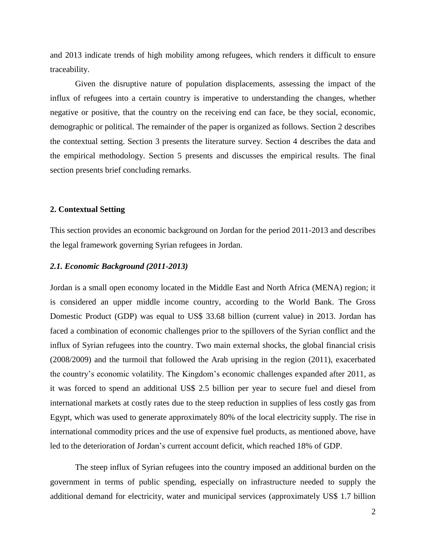and 2013 indicate trends of high mobility among refugees, which renders it difficult to ensure traceability.

Given the disruptive nature of population displacements, assessing the impact of the influx of refugees into a certain country is imperative to understanding the changes, whether negative or positive, that the country on the receiving end can face, be they social, economic, demographic or political. The remainder of the paper is organized as follows. Section 2 describes the contextual setting. Section 3 presents the literature survey. Section 4 describes the data and the empirical methodology. Section 5 presents and discusses the empirical results. The final section presents brief concluding remarks.

#### **2. Contextual Setting**

This section provides an economic background on Jordan for the period 2011-2013 and describes the legal framework governing Syrian refugees in Jordan.

#### *2.1. Economic Background (2011-2013)*

Jordan is a small open economy located in the Middle East and North Africa (MENA) region; it is considered an upper middle income country, according to the World Bank. The Gross Domestic Product (GDP) was equal to US\$ 33.68 billion (current value) in 2013. Jordan has faced a combination of economic challenges prior to the spillovers of the Syrian conflict and the influx of Syrian refugees into the country. Two main external shocks, the global financial crisis (2008/2009) and the turmoil that followed the Arab uprising in the region (2011), exacerbated the country's economic volatility. The Kingdom's economic challenges expanded after 2011, as it was forced to spend an additional US\$ 2.5 billion per year to secure fuel and diesel from international markets at costly rates due to the steep reduction in supplies of less costly gas from Egypt, which was used to generate approximately 80% of the local electricity supply. The rise in international commodity prices and the use of expensive fuel products, as mentioned above, have led to the deterioration of Jordan's current account deficit, which reached 18% of GDP.

The steep influx of Syrian refugees into the country imposed an additional burden on the government in terms of public spending, especially on infrastructure needed to supply the additional demand for electricity, water and municipal services (approximately US\$ 1.7 billion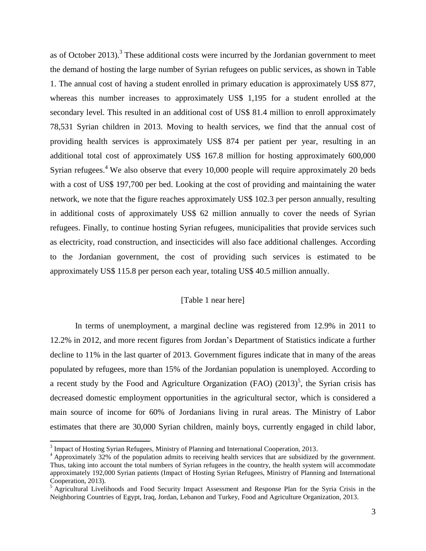as of October 2013).<sup>3</sup> These additional costs were incurred by the Jordanian government to meet the demand of hosting the large number of Syrian refugees on public services, as shown in Table 1. The annual cost of having a student enrolled in primary education is approximately US\$ 877, whereas this number increases to approximately US\$ 1,195 for a student enrolled at the secondary level. This resulted in an additional cost of US\$ 81.4 million to enroll approximately 78,531 Syrian children in 2013. Moving to health services, we find that the annual cost of providing health services is approximately US\$ 874 per patient per year, resulting in an additional total cost of approximately US\$ 167.8 million for hosting approximately 600,000 Syrian refugees.<sup>4</sup> We also observe that every 10,000 people will require approximately 20 beds with a cost of US\$ 197,700 per bed. Looking at the cost of providing and maintaining the water network, we note that the figure reaches approximately US\$ 102.3 per person annually, resulting in additional costs of approximately US\$ 62 million annually to cover the needs of Syrian refugees. Finally, to continue hosting Syrian refugees, municipalities that provide services such as electricity, road construction, and insecticides will also face additional challenges. According to the Jordanian government, the cost of providing such services is estimated to be approximately US\$ 115.8 per person each year, totaling US\$ 40.5 million annually.

#### [Table 1 near here]

In terms of unemployment, a marginal decline was registered from 12.9% in 2011 to 12.2% in 2012, and more recent figures from Jordan's Department of Statistics indicate a further decline to 11% in the last quarter of 2013. Government figures indicate that in many of the areas populated by refugees, more than 15% of the Jordanian population is unemployed. According to a recent study by the Food and Agriculture Organization (FAO)  $(2013)^5$ , the Syrian crisis has decreased domestic employment opportunities in the agricultural sector, which is considered a main source of income for 60% of Jordanians living in rural areas. The Ministry of Labor estimates that there are 30,000 Syrian children, mainly boys, currently engaged in child labor,

 $\overline{\phantom{a}}$ 

 $3$  Impact of Hosting Syrian Refugees, Ministry of Planning and International Cooperation, 2013.

<sup>&</sup>lt;sup>4</sup> Approximately 32% of the population admits to receiving health services that are subsidized by the government. Thus, taking into account the total numbers of Syrian refugees in the country, the health system will accommodate approximately 192,000 Syrian patients (Impact of Hosting Syrian Refugees, Ministry of Planning and International Cooperation, 2013).

<sup>&</sup>lt;sup>5</sup> Agricultural Livelihoods and Food Security Impact Assessment and Response Plan for the Syria Crisis in the Neighboring Countries of Egypt, Iraq, Jordan, Lebanon and Turkey, Food and Agriculture Organization, 2013.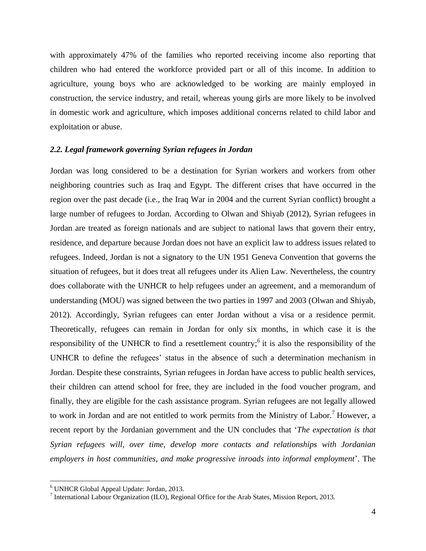with approximately 47% of the families who reported receiving income also reporting that children who had entered the workforce provided part or all of this income. In addition to agriculture, young boys who are acknowledged to be working are mainly employed in construction, the service industry, and retail, whereas young girls are more likely to be involved in domestic work and agriculture, which imposes additional concerns related to child labor and exploitation or abuse.

#### *2.2. Legal framework governing Syrian refugees in Jordan*

Jordan was long considered to be a destination for Syrian workers and workers from other neighboring countries such as Iraq and Egypt. The different crises that have occurred in the region over the past decade (i.e., the Iraq War in 2004 and the current Syrian conflict) brought a large number of refugees to Jordan. According to Olwan and Shiyab (2012), Syrian refugees in Jordan are treated as foreign nationals and are subject to national laws that govern their entry, residence, and departure because Jordan does not have an explicit law to address issues related to refugees. Indeed, Jordan is not a signatory to the UN 1951 Geneva Convention that governs the situation of refugees, but it does treat all refugees under its Alien Law. Nevertheless, the country does collaborate with the UNHCR to help refugees under an agreement, and a memorandum of understanding (MOU) was signed between the two parties in 1997 and 2003 (Olwan and Shiyab, 2012). Accordingly, Syrian refugees can enter Jordan without a visa or a residence permit. Theoretically, refugees can remain in Jordan for only six months, in which case it is the responsibility of the UNHCR to find a resettlement country;<sup>6</sup> it is also the responsibility of the UNHCR to define the refugees' status in the absence of such a determination mechanism in Jordan. Despite these constraints, Syrian refugees in Jordan have access to public health services, their children can attend school for free, they are included in the food voucher program, and finally, they are eligible for the cash assistance program. Syrian refugees are not legally allowed to work in Jordan and are not entitled to work permits from the Ministry of Labor.<sup>7</sup> However, a recent report by the Jordanian government and the UN concludes that '*The expectation is that Syrian refugees will, over time, develop more contacts and relationships with Jordanian employers in host communities, and make progressive inroads into informal employment*'. The

 $\overline{\phantom{a}}$ 

<sup>6</sup> UNHCR Global Appeal Update: Jordan, 2013.

<sup>&</sup>lt;sup>7</sup> International Labour Organization (ILO), Regional Office for the Arab States, Mission Report, 2013.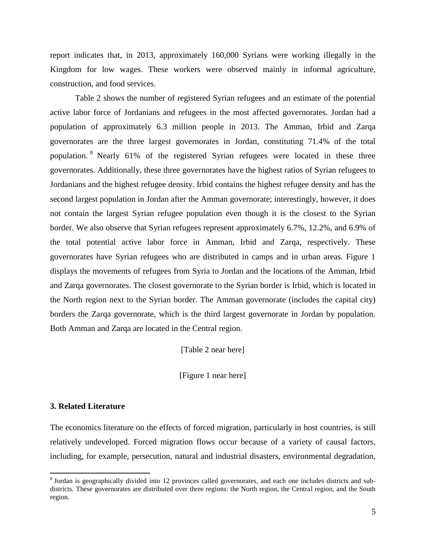report indicates that, in 2013, approximately 160,000 Syrians were working illegally in the Kingdom for low wages. These workers were observed mainly in informal agriculture, construction, and food services.

Table 2 shows the number of registered Syrian refugees and an estimate of the potential active labor force of Jordanians and refugees in the most affected governorates. Jordan had a population of approximately 6.3 million people in 2013. The Amman, Irbid and Zarqa governorates are the three largest governorates in Jordan, constituting 71.4% of the total population. <sup>8</sup> Nearly 61% of the registered Syrian refugees were located in these three governorates. Additionally, these three governorates have the highest ratios of Syrian refugees to Jordanians and the highest refugee density. Irbid contains the highest refugee density and has the second largest population in Jordan after the Amman governorate; interestingly, however, it does not contain the largest Syrian refugee population even though it is the closest to the Syrian border. We also observe that Syrian refugees represent approximately 6.7%, 12.2%, and 6.9% of the total potential active labor force in Amman, Irbid and Zarqa, respectively. These governorates have Syrian refugees who are distributed in camps and in urban areas. Figure 1 displays the movements of refugees from Syria to Jordan and the locations of the Amman, Irbid and Zarqa governorates. The closest governorate to the Syrian border is Irbid, which is located in the North region next to the Syrian border. The Amman governorate (includes the capital city) borders the Zarqa governorate, which is the third largest governorate in Jordan by population. Both Amman and Zarqa are located in the Central region.

[Table 2 near here]

[Figure 1 near here]

#### **3. Related Literature**

 $\overline{\phantom{a}}$ 

The economics literature on the effects of forced migration, particularly in host countries, is still relatively undeveloped. Forced migration flows occur because of a variety of causal factors, including, for example, persecution, natural and industrial disasters, environmental degradation,

<sup>&</sup>lt;sup>8</sup> Jordan is geographically divided into 12 provinces called governorates, and each one includes districts and subdistricts. These governorates are distributed over three regions: the North region, the Central region, and the South region.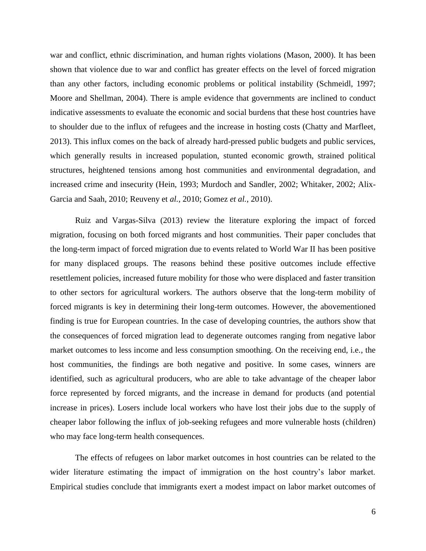war and conflict, ethnic discrimination, and human rights violations (Mason, 2000). It has been shown that violence due to war and conflict has greater effects on the level of forced migration than any other factors, including economic problems or political instability (Schmeidl, 1997; Moore and Shellman, 2004). There is ample evidence that governments are inclined to conduct indicative assessments to evaluate the economic and social burdens that these host countries have to shoulder due to the influx of refugees and the increase in hosting costs (Chatty and Marfleet, 2013). This influx comes on the back of already hard-pressed public budgets and public services, which generally results in increased population, stunted economic growth, strained political structures, heightened tensions among host communities and environmental degradation, and increased crime and insecurity (Hein, 1993; Murdoch and Sandler, 2002; Whitaker, 2002; Alix-Garcia and Saah, 2010; Reuveny et *al.*, 2010; Gomez *et al.*, 2010).

Ruiz and Vargas-Silva (2013) review the literature exploring the impact of forced migration, focusing on both forced migrants and host communities. Their paper concludes that the long-term impact of forced migration due to events related to World War II has been positive for many displaced groups. The reasons behind these positive outcomes include effective resettlement policies, increased future mobility for those who were displaced and faster transition to other sectors for agricultural workers. The authors observe that the long-term mobility of forced migrants is key in determining their long-term outcomes. However, the abovementioned finding is true for European countries. In the case of developing countries, the authors show that the consequences of forced migration lead to degenerate outcomes ranging from negative labor market outcomes to less income and less consumption smoothing. On the receiving end, i.e., the host communities, the findings are both negative and positive. In some cases, winners are identified, such as agricultural producers, who are able to take advantage of the cheaper labor force represented by forced migrants, and the increase in demand for products (and potential increase in prices). Losers include local workers who have lost their jobs due to the supply of cheaper labor following the influx of job-seeking refugees and more vulnerable hosts (children) who may face long-term health consequences.

The effects of refugees on labor market outcomes in host countries can be related to the wider literature estimating the impact of immigration on the host country's labor market. Empirical studies conclude that immigrants exert a modest impact on labor market outcomes of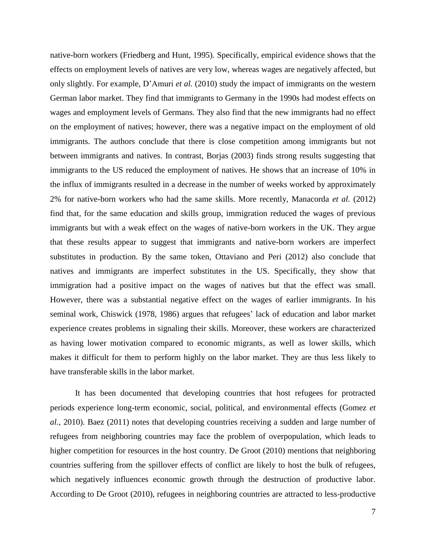native-born workers (Friedberg and Hunt, 1995). Specifically, empirical evidence shows that the effects on employment levels of natives are very low, whereas wages are negatively affected, but only slightly. For example, D'Amuri *et al.* (2010) study the impact of immigrants on the western German labor market. They find that immigrants to Germany in the 1990s had modest effects on wages and employment levels of Germans. They also find that the new immigrants had no effect on the employment of natives; however, there was a negative impact on the employment of old immigrants. The authors conclude that there is close competition among immigrants but not between immigrants and natives. In contrast, Borjas (2003) finds strong results suggesting that immigrants to the US reduced the employment of natives. He shows that an increase of 10% in the influx of immigrants resulted in a decrease in the number of weeks worked by approximately 2% for native-born workers who had the same skills. More recently, Manacorda *et al.* (2012) find that, for the same education and skills group, immigration reduced the wages of previous immigrants but with a weak effect on the wages of native-born workers in the UK. They argue that these results appear to suggest that immigrants and native-born workers are imperfect substitutes in production. By the same token, Ottaviano and Peri (2012) also conclude that natives and immigrants are imperfect substitutes in the US. Specifically, they show that immigration had a positive impact on the wages of natives but that the effect was small. However, there was a substantial negative effect on the wages of earlier immigrants. In his seminal work, Chiswick (1978, 1986) argues that refugees' lack of education and labor market experience creates problems in signaling their skills. Moreover, these workers are characterized as having lower motivation compared to economic migrants, as well as lower skills, which makes it difficult for them to perform highly on the labor market. They are thus less likely to have transferable skills in the labor market.

It has been documented that developing countries that host refugees for protracted periods experience long-term economic, social, political, and environmental effects (Gomez *et al.*, 2010). Baez (2011) notes that developing countries receiving a sudden and large number of refugees from neighboring countries may face the problem of overpopulation, which leads to higher competition for resources in the host country. De Groot (2010) mentions that neighboring countries suffering from the spillover effects of conflict are likely to host the bulk of refugees, which negatively influences economic growth through the destruction of productive labor. According to De Groot (2010), refugees in neighboring countries are attracted to less-productive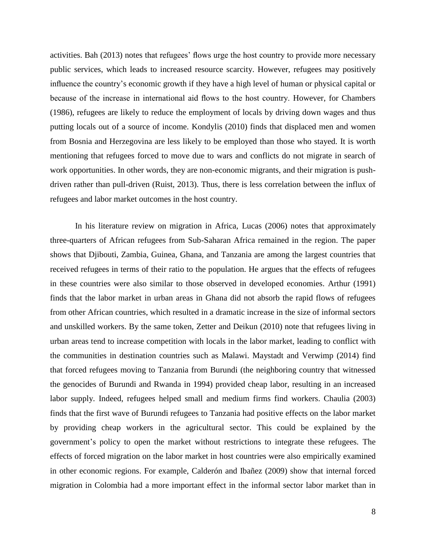activities. Bah (2013) notes that refugees' flows urge the host country to provide more necessary public services, which leads to increased resource scarcity. However, refugees may positively influence the country's economic growth if they have a high level of human or physical capital or because of the increase in international aid flows to the host country. However, for Chambers (1986), refugees are likely to reduce the employment of locals by driving down wages and thus putting locals out of a source of income. Kondylis (2010) finds that displaced men and women from Bosnia and Herzegovina are less likely to be employed than those who stayed. It is worth mentioning that refugees forced to move due to wars and conflicts do not migrate in search of work opportunities. In other words, they are non-economic migrants, and their migration is pushdriven rather than pull-driven (Ruist, 2013). Thus, there is less correlation between the influx of refugees and labor market outcomes in the host country.

In his literature review on migration in Africa, Lucas (2006) notes that approximately three-quarters of African refugees from Sub-Saharan Africa remained in the region. The paper shows that Djibouti, Zambia, Guinea, Ghana, and Tanzania are among the largest countries that received refugees in terms of their ratio to the population. He argues that the effects of refugees in these countries were also similar to those observed in developed economies. Arthur (1991) finds that the labor market in urban areas in Ghana did not absorb the rapid flows of refugees from other African countries, which resulted in a dramatic increase in the size of informal sectors and unskilled workers. By the same token, Zetter and Deikun (2010) note that refugees living in urban areas tend to increase competition with locals in the labor market, leading to conflict with the communities in destination countries such as Malawi. Maystadt and Verwimp (2014) find that forced refugees moving to Tanzania from Burundi (the neighboring country that witnessed the genocides of Burundi and Rwanda in 1994) provided cheap labor, resulting in an increased labor supply. Indeed, refugees helped small and medium firms find workers. Chaulia (2003) finds that the first wave of Burundi refugees to Tanzania had positive effects on the labor market by providing cheap workers in the agricultural sector. This could be explained by the government's policy to open the market without restrictions to integrate these refugees. The effects of forced migration on the labor market in host countries were also empirically examined in other economic regions. For example, Calderón and Ibañez (2009) show that internal forced migration in Colombia had a more important effect in the informal sector labor market than in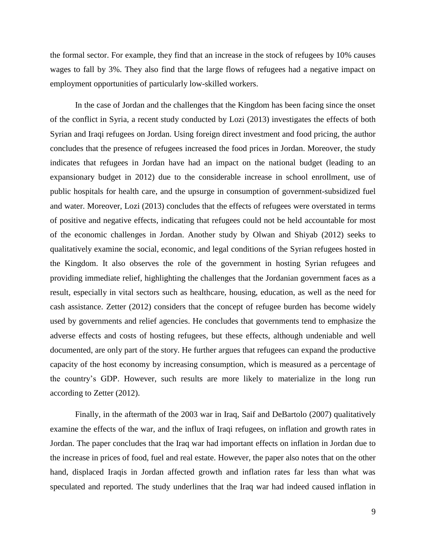the formal sector. For example, they find that an increase in the stock of refugees by 10% causes wages to fall by 3%. They also find that the large flows of refugees had a negative impact on employment opportunities of particularly low-skilled workers.

In the case of Jordan and the challenges that the Kingdom has been facing since the onset of the conflict in Syria, a recent study conducted by Lozi (2013) investigates the effects of both Syrian and Iraqi refugees on Jordan. Using foreign direct investment and food pricing, the author concludes that the presence of refugees increased the food prices in Jordan. Moreover, the study indicates that refugees in Jordan have had an impact on the national budget (leading to an expansionary budget in 2012) due to the considerable increase in school enrollment, use of public hospitals for health care, and the upsurge in consumption of government-subsidized fuel and water. Moreover, Lozi (2013) concludes that the effects of refugees were overstated in terms of positive and negative effects, indicating that refugees could not be held accountable for most of the economic challenges in Jordan. Another study by Olwan and Shiyab (2012) seeks to qualitatively examine the social, economic, and legal conditions of the Syrian refugees hosted in the Kingdom. It also observes the role of the government in hosting Syrian refugees and providing immediate relief, highlighting the challenges that the Jordanian government faces as a result, especially in vital sectors such as healthcare, housing, education, as well as the need for cash assistance. Zetter (2012) considers that the concept of refugee burden has become widely used by governments and relief agencies. He concludes that governments tend to emphasize the adverse effects and costs of hosting refugees, but these effects, although undeniable and well documented, are only part of the story. He further argues that refugees can expand the productive capacity of the host economy by increasing consumption, which is measured as a percentage of the country's GDP. However, such results are more likely to materialize in the long run according to Zetter (2012).

Finally, in the aftermath of the 2003 war in Iraq, Saif and DeBartolo (2007) qualitatively examine the effects of the war, and the influx of Iraqi refugees, on inflation and growth rates in Jordan. The paper concludes that the Iraq war had important effects on inflation in Jordan due to the increase in prices of food, fuel and real estate. However, the paper also notes that on the other hand, displaced Iraqis in Jordan affected growth and inflation rates far less than what was speculated and reported. The study underlines that the Iraq war had indeed caused inflation in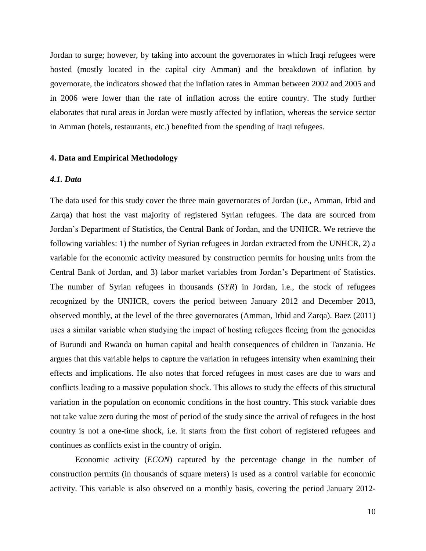Jordan to surge; however, by taking into account the governorates in which Iraqi refugees were hosted (mostly located in the capital city Amman) and the breakdown of inflation by governorate, the indicators showed that the inflation rates in Amman between 2002 and 2005 and in 2006 were lower than the rate of inflation across the entire country. The study further elaborates that rural areas in Jordan were mostly affected by inflation, whereas the service sector in Amman (hotels, restaurants, etc.) benefited from the spending of Iraqi refugees.

#### **4. Data and Empirical Methodology**

#### *4.1. Data*

The data used for this study cover the three main governorates of Jordan (i.e., Amman, Irbid and Zarqa) that host the vast majority of registered Syrian refugees. The data are sourced from Jordan's Department of Statistics, the Central Bank of Jordan, and the UNHCR. We retrieve the following variables: 1) the number of Syrian refugees in Jordan extracted from the UNHCR, 2) a variable for the economic activity measured by construction permits for housing units from the Central Bank of Jordan, and 3) labor market variables from Jordan's Department of Statistics. The number of Syrian refugees in thousands (*SYR*) in Jordan, i.e., the stock of refugees recognized by the UNHCR, covers the period between January 2012 and December 2013, observed monthly, at the level of the three governorates (Amman, Irbid and Zarqa). Baez (2011) uses a similar variable when studying the impact of hosting refugees fleeing from the genocides of Burundi and Rwanda on human capital and health consequences of children in Tanzania. He argues that this variable helps to capture the variation in refugees intensity when examining their effects and implications. He also notes that forced refugees in most cases are due to wars and conflicts leading to a massive population shock. This allows to study the effects of this structural variation in the population on economic conditions in the host country. This stock variable does not take value zero during the most of period of the study since the arrival of refugees in the host country is not a one-time shock, i.e. it starts from the first cohort of registered refugees and continues as conflicts exist in the country of origin.

Economic activity (*ECON*) captured by the percentage change in the number of construction permits (in thousands of square meters) is used as a control variable for economic activity. This variable is also observed on a monthly basis, covering the period January 2012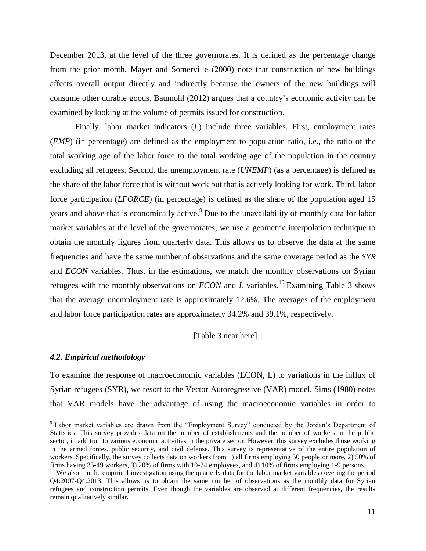December 2013, at the level of the three governorates. It is defined as the percentage change from the prior month. Mayer and Somerville (2000) note that construction of new buildings affects overall output directly and indirectly because the owners of the new buildings will consume other durable goods. Baumohl (2012) argues that a country's economic activity can be examined by looking at the volume of permits issued for construction.

Finally, labor market indicators (*L*) include three variables. First, employment rates (*EMP*) (in percentage) are defined as the employment to population ratio, i.e., the ratio of the total working age of the labor force to the total working age of the population in the country excluding all refugees. Second, the unemployment rate (*UNEMP*) (as a percentage) is defined as the share of the labor force that is without work but that is actively looking for work. Third, labor force participation (*LFORCE*) (in percentage) is defined as the share of the population aged 15 years and above that is economically active.<sup>9</sup> Due to the unavailability of monthly data for labor market variables at the level of the governorates, we use a geometric interpolation technique to obtain the monthly figures from quarterly data. This allows us to observe the data at the same frequencies and have the same number of observations and the same coverage period as the *SYR* and *ECON* variables. Thus, in the estimations, we match the monthly observations on Syrian refugees with the monthly observations on *ECON* and *L* variables.<sup>10</sup> Examining Table 3 shows that the average unemployment rate is approximately 12.6%. The averages of the employment and labor force participation rates are approximately 34.2% and 39.1%, respectively.

[Table 3 near here]

#### *4.2. Empirical methodology*

 $\overline{\phantom{a}}$ 

To examine the response of macroeconomic variables (ECON, L) to variations in the influx of Syrian refugees (SYR), we resort to the Vector Autoregressive (VAR) model. Sims (1980) notes that VAR models have the advantage of using the macroeconomic variables in order to

<sup>&</sup>lt;sup>9</sup> Labor market variables are drawn from the "Employment Survey" conducted by the Jordan's Department of Statistics. This survey provides data on the number of establishments and the number of workers in the public sector, in addition to various economic activities in the private sector. However, this survey excludes those working in the armed forces, public security, and civil defense. This survey is representative of the entire population of workers. Specifically, the survey collects data on workers from 1) all firms employing 50 people or more, 2) 50% of firms having 35-49 workers, 3) 20% of firms with 10-24 employees, and 4) 10% of firms employing 1-9 persons.

 $10$  We also run the empirical investigation using the quarterly data for the labor market variables covering the period Q4:2007-Q4:2013. This allows us to obtain the same number of observations as the monthly data for Syrian refugees and construction permits. Even though the variables are observed at different frequencies, the results remain qualitatively similar.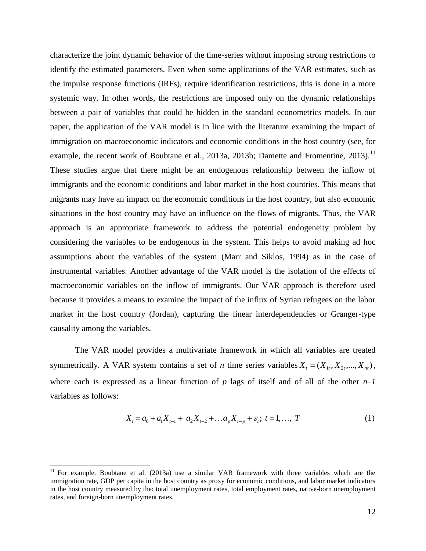characterize the joint dynamic behavior of the time-series without imposing strong restrictions to identify the estimated parameters. Even when some applications of the VAR estimates, such as the impulse response functions (IRFs), require identification restrictions, this is done in a more systemic way. In other words, the restrictions are imposed only on the dynamic relationships between a pair of variables that could be hidden in the standard econometrics models. In our paper, the application of the VAR model is in line with the literature examining the impact of immigration on macroeconomic indicators and economic conditions in the host country (see, for example, the recent work of Boubtane et al., 2013a, 2013b; Damette and Fromentine, 2013).<sup>11</sup> These studies argue that there might be an endogenous relationship between the inflow of immigrants and the economic conditions and labor market in the host countries. This means that migrants may have an impact on the economic conditions in the host country, but also economic situations in the host country may have an influence on the flows of migrants. Thus, the VAR approach is an appropriate framework to address the potential endogeneity problem by considering the variables to be endogenous in the system. This helps to avoid making ad hoc assumptions about the variables of the system (Marr and Siklos, 1994) as in the case of instrumental variables. Another advantage of the VAR model is the isolation of the effects of macroeconomic variables on the inflow of immigrants. Our VAR approach is therefore used because it provides a means to examine the impact of the influx of Syrian refugees on the labor market in the host country (Jordan), capturing the linear interdependencies or Granger-type causality among the variables.

The VAR model provides a multivariate framework in which all variables are treated symmetrically. A VAR system contains a set of *n* time series variables  $X_t = (X_{1t}, X_{2t},..., X_{nt})$ , where each is expressed as a linear function of  $p$  lags of itself and of all of the other  $n-1$ variables as follows:

$$
X_{t} = a_{0} + a_{1}X_{t-1} + a_{2}X_{t-2} + \dots + a_{p}X_{t-p} + \varepsilon_{t}; \ t = 1, \dots, T
$$
 (1)

 $\overline{\phantom{a}}$ 

<sup>&</sup>lt;sup>11</sup> For example, Boubtane et al. (2013a) use a similar VAR framework with three variables which are the immigration rate, GDP per capita in the host country as proxy for economic conditions, and labor market indicators in the host country measured by the: total unemployment rates, total employment rates, native-born unemployment rates, and foreign-born unemployment rates.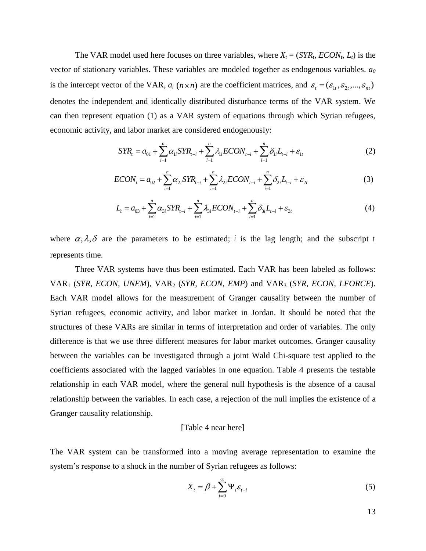The VAR model used here focuses on three variables, where  $X_t = (SYR_t, ECON_t, L_t)$  is the vector of stationary variables. These variables are modeled together as endogenous variables. *a<sup>0</sup>* is the intercept vector of the VAR,  $a_i$  ( $n \times n$ ) are the coefficient matrices, and  $\varepsilon_t = (\varepsilon_{1t}, \varepsilon_{2t}, ..., \varepsilon_{nt})$ denotes the independent and identically distributed disturbance terms of the VAR system. We can then represent equation (1) as a VAR system of equations through which Syrian refugees,

$$
\text{ECON}_{t} = a_{01} + \sum_{i=1}^{n} \alpha_{1i} \text{STR}_{t-i} + \sum_{i=1}^{n} \lambda_{1i} \text{ECON}_{t-i} + \sum_{i=1}^{n} \delta_{1i} L_{t-i} + \varepsilon_{1t} \tag{2}
$$
\n
$$
\text{ECON}_{t} = a_{02} + \sum_{i=1}^{n} \alpha_{2i} \text{STR}_{t-i} + \sum_{i=1}^{n} \lambda_{2i} \text{ECON}_{t-i} + \sum_{i=1}^{n} \delta_{1i} L_{t-i} + \varepsilon_{1t} \tag{3}
$$

$$
ECON_{t} = a_{02} + \sum_{i=1}^{n} \alpha_{2i} STR_{t-i} + \sum_{i=1}^{n} \lambda_{2i} ECON_{t-i} + \sum_{i=1}^{n} \delta_{2i} L_{t-i} + \varepsilon_{2t}
$$
(3)

$$
ECON_{t} = a_{02} + \sum_{i=1}^{n} \alpha_{2i} STR_{t-i} + \sum_{i=1}^{n} \lambda_{2i} ECON_{t-i} + \sum_{i=1}^{n} \delta_{2i} L_{t-i} + \varepsilon_{2t}
$$
(3)  

$$
L_{t} = a_{03} + \sum_{i=1}^{n} \alpha_{3i} STR_{t-i} + \sum_{i=1}^{n} \lambda_{3i} ECON_{t-i} + \sum_{i=1}^{n} \delta_{3i} L_{t-i} + \varepsilon_{3t}
$$
(4)

where  $\alpha, \lambda, \delta$  are the parameters to be estimated; *i* is the lag length; and the subscript *t* represents time.

Three VAR systems have thus been estimated. Each VAR has been labeled as follows: VAR<sup>1</sup> (*SYR, ECON, UNEM*), VAR<sup>2</sup> (*SYR, ECON, EMP*) and VAR<sup>3</sup> (*SYR, ECON, LFORCE*). Each VAR model allows for the measurement of Granger causality between the number of Syrian refugees, economic activity, and labor market in Jordan. It should be noted that the structures of these VARs are similar in terms of interpretation and order of variables. The only difference is that we use three different measures for labor market outcomes. Granger causality between the variables can be investigated through a joint Wald Chi-square test applied to the coefficients associated with the lagged variables in one equation. Table 4 presents the testable relationship in each VAR model, where the general null hypothesis is the absence of a causal relationship between the variables. In each case, a rejection of the null implies the existence of a Granger causality relationship.

#### [Table 4 near here]

The VAR system can be transformed into a moving average representation to examine the system's response to a shock in the number of Syrian refugees as follows:

$$
X_{t} = \beta + \sum_{i=0}^{\infty} \Psi_{i} \varepsilon_{t-i}
$$
 (5)

13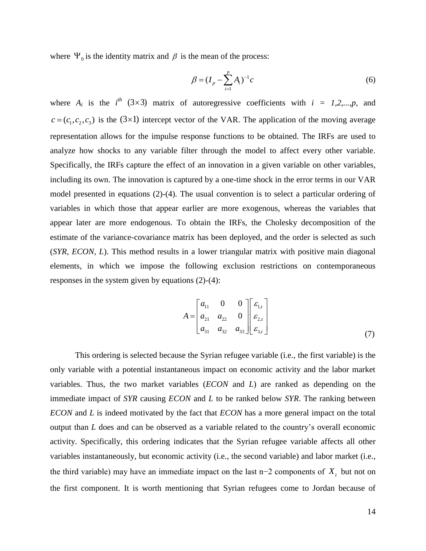where  $\Psi_0$  is the identity matrix and  $\beta$  is the mean of the process:

$$
\beta = (I_p - \sum_{i=1}^p A_i)^{-1}c
$$
\n(6)

where  $A_i$  is the  $i^{th}$  (3×3) matrix of autoregressive coefficients with  $i = 1, 2, ..., p$ , and  $c = (c_1, c_2, c_3)$  is the (3×1) intercept vector of the VAR. The application of the moving average representation allows for the impulse response functions to be obtained. The IRFs are used to analyze how shocks to any variable filter through the model to affect every other variable. Specifically, the IRFs capture the effect of an innovation in a given variable on other variables, including its own. The innovation is captured by a one-time shock in the error terms in our VAR model presented in equations (2)-(4). The usual convention is to select a particular ordering of variables in which those that appear earlier are more exogenous, whereas the variables that appear later are more endogenous. To obtain the IRFs, the Cholesky decomposition of the estimate of the variance-covariance matrix has been deployed, and the order is selected as such (*SYR, ECON, L*). This method results in a lower triangular matrix with positive main diagonal elements, in which we impose the following exclusion restrictions on contemporaneous responses in the system given by equations (2)-(4):

$$
A = \begin{bmatrix} a_{11} & 0 & 0 \\ a_{21} & a_{22} & 0 \\ a_{31} & a_{32} & a_{33} \end{bmatrix} \begin{bmatrix} \varepsilon_{1,t} \\ \varepsilon_{2,t} \\ \varepsilon_{3,t} \end{bmatrix}
$$
 (7)

This ordering is selected because the Syrian refugee variable (i.e., the first variable) is the only variable with a potential instantaneous impact on economic activity and the labor market variables. Thus, the two market variables (*ECON* and *L*) are ranked as depending on the immediate impact of *SYR* causing *ECON* and *L* to be ranked below *SYR*. The ranking between *ECON* and *L* is indeed motivated by the fact that *ECON* has a more general impact on the total output than *L* does and can be observed as a variable related to the country's overall economic activity. Specifically, this ordering indicates that the Syrian refugee variable affects all other variables instantaneously, but economic activity (i.e., the second variable) and labor market (i.e., the third variable) may have an immediate impact on the last n–2 components of  $X_t$  but not on the first component. It is worth mentioning that Syrian refugees come to Jordan because of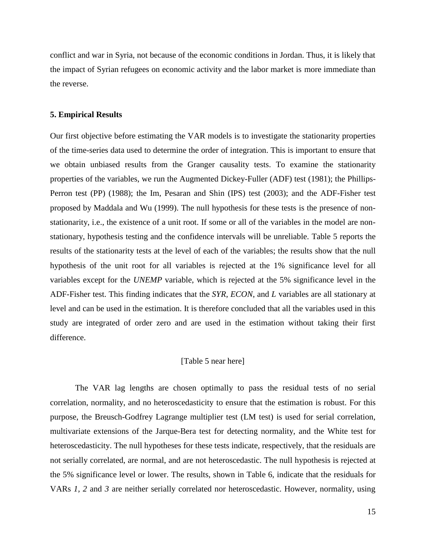conflict and war in Syria, not because of the economic conditions in Jordan. Thus, it is likely that the impact of Syrian refugees on economic activity and the labor market is more immediate than the reverse.

#### **5. Empirical Results**

Our first objective before estimating the VAR models is to investigate the stationarity properties of the time-series data used to determine the order of integration. This is important to ensure that we obtain unbiased results from the Granger causality tests. To examine the stationarity properties of the variables, we run the Augmented Dickey-Fuller (ADF) test (1981); the Phillips-Perron test (PP) (1988); the Im, Pesaran and Shin (IPS) test (2003); and the ADF-Fisher test proposed by Maddala and Wu (1999). The null hypothesis for these tests is the presence of nonstationarity, i.e., the existence of a unit root. If some or all of the variables in the model are nonstationary, hypothesis testing and the confidence intervals will be unreliable. Table 5 reports the results of the stationarity tests at the level of each of the variables; the results show that the null hypothesis of the unit root for all variables is rejected at the 1% significance level for all variables except for the *UNEMP* variable, which is rejected at the 5% significance level in the ADF-Fisher test. This finding indicates that the *SYR*, *ECON*, and *L* variables are all stationary at level and can be used in the estimation. It is therefore concluded that all the variables used in this study are integrated of order zero and are used in the estimation without taking their first difference.

#### [Table 5 near here]

The VAR lag lengths are chosen optimally to pass the residual tests of no serial correlation, normality, and no heteroscedasticity to ensure that the estimation is robust. For this purpose, the Breusch-Godfrey Lagrange multiplier test (LM test) is used for serial correlation, multivariate extensions of the Jarque-Bera test for detecting normality, and the White test for heteroscedasticity. The null hypotheses for these tests indicate, respectively, that the residuals are not serially correlated, are normal, and are not heteroscedastic. The null hypothesis is rejected at the 5% significance level or lower. The results, shown in Table 6, indicate that the residuals for VARs *1, 2* and *3* are neither serially correlated nor heteroscedastic. However, normality, using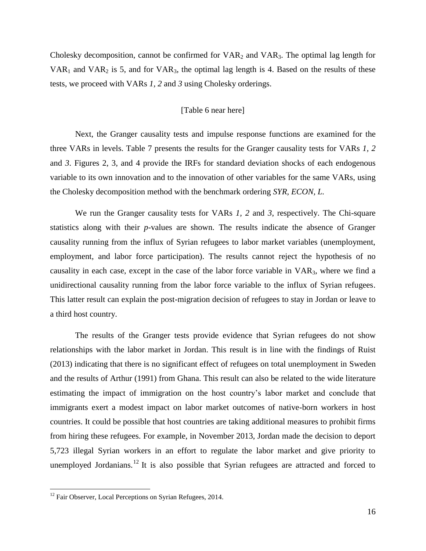Cholesky decomposition, cannot be confirmed for  $VAR<sub>2</sub>$  and  $VAR<sub>3</sub>$ . The optimal lag length for  $VAR<sub>1</sub>$  and  $VAR<sub>2</sub>$  is 5, and for  $VAR<sub>3</sub>$ , the optimal lag length is 4. Based on the results of these tests, we proceed with VARs *1, 2* and *3* using Cholesky orderings.

#### [Table 6 near here]

Next, the Granger causality tests and impulse response functions are examined for the three VARs in levels. Table 7 presents the results for the Granger causality tests for VARs *1, 2*  and *3*. Figures 2, 3, and 4 provide the IRFs for standard deviation shocks of each endogenous variable to its own innovation and to the innovation of other variables for the same VARs, using the Cholesky decomposition method with the benchmark ordering *SYR, ECON, L.*

We run the Granger causality tests for VARs *1, 2* and *3*, respectively. The Chi-square statistics along with their *p*-values are shown. The results indicate the absence of Granger causality running from the influx of Syrian refugees to labor market variables (unemployment, employment, and labor force participation). The results cannot reject the hypothesis of no causality in each case, except in the case of the labor force variable in VAR3, where we find a unidirectional causality running from the labor force variable to the influx of Syrian refugees. This latter result can explain the post-migration decision of refugees to stay in Jordan or leave to a third host country.

The results of the Granger tests provide evidence that Syrian refugees do not show relationships with the labor market in Jordan. This result is in line with the findings of Ruist (2013) indicating that there is no significant effect of refugees on total unemployment in Sweden and the results of Arthur (1991) from Ghana. This result can also be related to the wide literature estimating the impact of immigration on the host country's labor market and conclude that immigrants exert a modest impact on labor market outcomes of native-born workers in host countries. It could be possible that host countries are taking additional measures to prohibit firms from hiring these refugees. For example, in November 2013, Jordan made the decision to deport 5,723 illegal Syrian workers in an effort to regulate the labor market and give priority to unemployed Jordanians.<sup>12</sup> It is also possible that Syrian refugees are attracted and forced to

 $\overline{\phantom{a}}$ 

 $12$  Fair Observer, Local Perceptions on Syrian Refugees, 2014.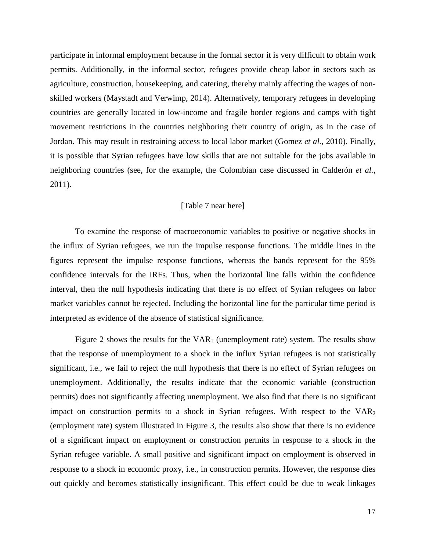participate in informal employment because in the formal sector it is very difficult to obtain work permits. Additionally, in the informal sector, refugees provide cheap labor in sectors such as agriculture, construction, housekeeping, and catering, thereby mainly affecting the wages of nonskilled workers (Maystadt and Verwimp, 2014). Alternatively, temporary refugees in developing countries are generally located in low-income and fragile border regions and camps with tight movement restrictions in the countries neighboring their country of origin, as in the case of Jordan. This may result in restraining access to local labor market (Gomez *et al.*, 2010). Finally, it is possible that Syrian refugees have low skills that are not suitable for the jobs available in neighboring countries (see, for the example, the Colombian case discussed in Calderón *et al.*, 2011).

#### [Table 7 near here]

To examine the response of macroeconomic variables to positive or negative shocks in the influx of Syrian refugees, we run the impulse response functions. The middle lines in the figures represent the impulse response functions, whereas the bands represent for the 95% confidence intervals for the IRFs. Thus, when the horizontal line falls within the confidence interval, then the null hypothesis indicating that there is no effect of Syrian refugees on labor market variables cannot be rejected. Including the horizontal line for the particular time period is interpreted as evidence of the absence of statistical significance.

Figure 2 shows the results for the  $VAR<sub>1</sub>$  (unemployment rate) system. The results show that the response of unemployment to a shock in the influx Syrian refugees is not statistically significant, i.e., we fail to reject the null hypothesis that there is no effect of Syrian refugees on unemployment. Additionally, the results indicate that the economic variable (construction permits) does not significantly affecting unemployment. We also find that there is no significant impact on construction permits to a shock in Syrian refugees. With respect to the  $VAR<sub>2</sub>$ (employment rate) system illustrated in Figure 3, the results also show that there is no evidence of a significant impact on employment or construction permits in response to a shock in the Syrian refugee variable. A small positive and significant impact on employment is observed in response to a shock in economic proxy, i.e., in construction permits. However, the response dies out quickly and becomes statistically insignificant. This effect could be due to weak linkages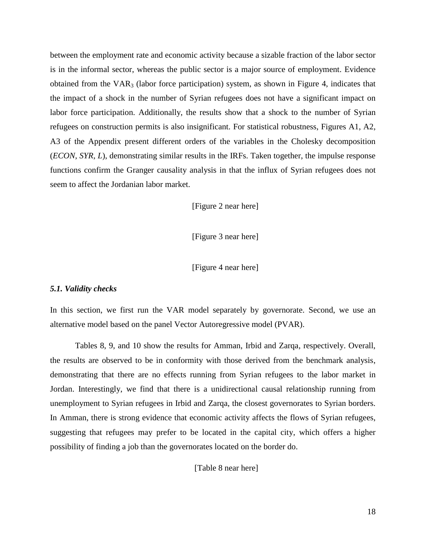between the employment rate and economic activity because a sizable fraction of the labor sector is in the informal sector, whereas the public sector is a major source of employment. Evidence obtained from the  $VAR<sub>3</sub>$  (labor force participation) system, as shown in Figure 4, indicates that the impact of a shock in the number of Syrian refugees does not have a significant impact on labor force participation. Additionally, the results show that a shock to the number of Syrian refugees on construction permits is also insignificant. For statistical robustness, Figures A1, A2, A3 of the Appendix present different orders of the variables in the Cholesky decomposition (*ECON*, *SYR*, *L*), demonstrating similar results in the IRFs. Taken together, the impulse response functions confirm the Granger causality analysis in that the influx of Syrian refugees does not seem to affect the Jordanian labor market.

[Figure 2 near here]

[Figure 3 near here]

[Figure 4 near here]

#### *5.1. Validity checks*

In this section, we first run the VAR model separately by governorate. Second, we use an alternative model based on the panel Vector Autoregressive model (PVAR).

Tables 8, 9, and 10 show the results for Amman, Irbid and Zarqa, respectively. Overall, the results are observed to be in conformity with those derived from the benchmark analysis, demonstrating that there are no effects running from Syrian refugees to the labor market in Jordan. Interestingly, we find that there is a unidirectional causal relationship running from unemployment to Syrian refugees in Irbid and Zarqa, the closest governorates to Syrian borders. In Amman, there is strong evidence that economic activity affects the flows of Syrian refugees, suggesting that refugees may prefer to be located in the capital city, which offers a higher possibility of finding a job than the governorates located on the border do.

[Table 8 near here]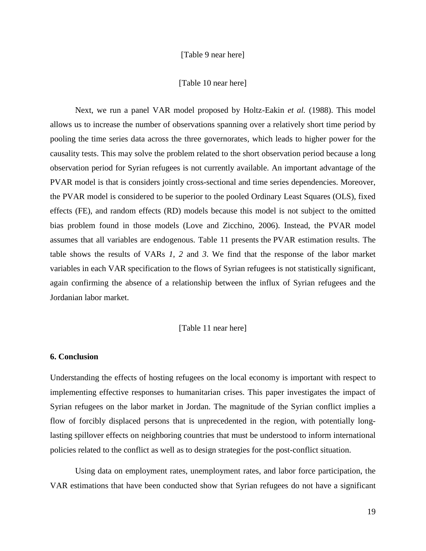#### [Table 9 near here]

#### [Table 10 near here]

Next, we run a panel VAR model proposed by Holtz-Eakin *et al.* (1988). This model allows us to increase the number of observations spanning over a relatively short time period by pooling the time series data across the three governorates, which leads to higher power for the causality tests. This may solve the problem related to the short observation period because a long observation period for Syrian refugees is not currently available. An important advantage of the PVAR model is that is considers jointly cross-sectional and time series dependencies. Moreover, the PVAR model is considered to be superior to the pooled Ordinary Least Squares (OLS), fixed effects (FE), and random effects (RD) models because this model is not subject to the omitted bias problem found in those models (Love and Zicchino, 2006). Instead, the PVAR model assumes that all variables are endogenous. Table 11 presents the PVAR estimation results. The table shows the results of VARs *1*, *2* and *3*. We find that the response of the labor market variables in each VAR specification to the flows of Syrian refugees is not statistically significant, again confirming the absence of a relationship between the influx of Syrian refugees and the Jordanian labor market.

#### [Table 11 near here]

#### **6. Conclusion**

Understanding the effects of hosting refugees on the local economy is important with respect to implementing effective responses to humanitarian crises. This paper investigates the impact of Syrian refugees on the labor market in Jordan. The magnitude of the Syrian conflict implies a flow of forcibly displaced persons that is unprecedented in the region, with potentially longlasting spillover effects on neighboring countries that must be understood to inform international policies related to the conflict as well as to design strategies for the post-conflict situation.

Using data on employment rates, unemployment rates, and labor force participation, the VAR estimations that have been conducted show that Syrian refugees do not have a significant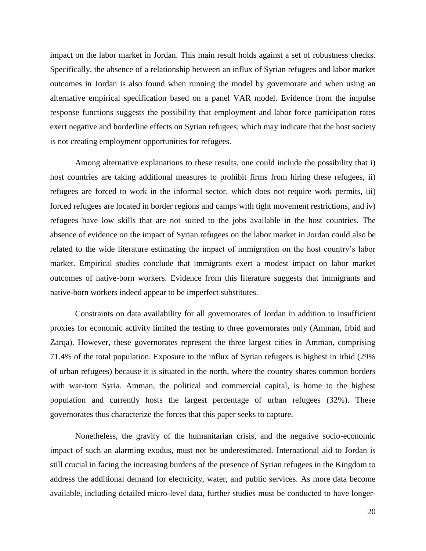impact on the labor market in Jordan. This main result holds against a set of robustness checks. Specifically, the absence of a relationship between an influx of Syrian refugees and labor market outcomes in Jordan is also found when running the model by governorate and when using an alternative empirical specification based on a panel VAR model. Evidence from the impulse response functions suggests the possibility that employment and labor force participation rates exert negative and borderline effects on Syrian refugees, which may indicate that the host society is not creating employment opportunities for refugees.

Among alternative explanations to these results, one could include the possibility that i) host countries are taking additional measures to prohibit firms from hiring these refugees, ii) refugees are forced to work in the informal sector, which does not require work permits, iii) forced refugees are located in border regions and camps with tight movement restrictions, and iv) refugees have low skills that are not suited to the jobs available in the host countries. The absence of evidence on the impact of Syrian refugees on the labor market in Jordan could also be related to the wide literature estimating the impact of immigration on the host country's labor market. Empirical studies conclude that immigrants exert a modest impact on labor market outcomes of native-born workers. Evidence from this literature suggests that immigrants and native-born workers indeed appear to be imperfect substitutes.

Constraints on data availability for all governorates of Jordan in addition to insufficient proxies for economic activity limited the testing to three governorates only (Amman, Irbid and Zarqa). However, these governorates represent the three largest cities in Amman, comprising 71.4% of the total population. Exposure to the influx of Syrian refugees is highest in Irbid (29% of urban refugees) because it is situated in the north, where the country shares common borders with war-torn Syria. Amman, the political and commercial capital, is home to the highest population and currently hosts the largest percentage of urban refugees (32%). These governorates thus characterize the forces that this paper seeks to capture.

Nonetheless, the gravity of the humanitarian crisis, and the negative socio-economic impact of such an alarming exodus, must not be underestimated. International aid to Jordan is still crucial in facing the increasing burdens of the presence of Syrian refugees in the Kingdom to address the additional demand for electricity, water, and public services. As more data become available, including detailed micro-level data, further studies must be conducted to have longer-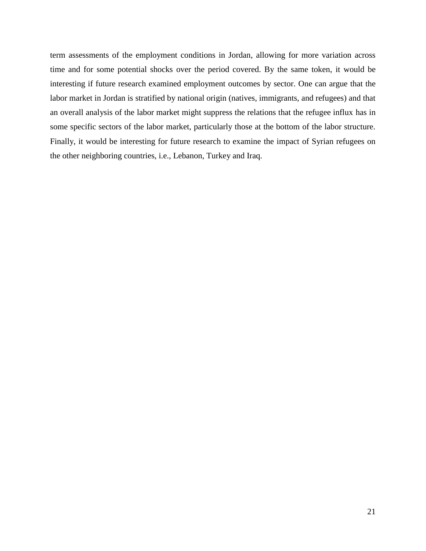term assessments of the employment conditions in Jordan, allowing for more variation across time and for some potential shocks over the period covered. By the same token, it would be interesting if future research examined employment outcomes by sector. One can argue that the labor market in Jordan is stratified by national origin (natives, immigrants, and refugees) and that an overall analysis of the labor market might suppress the relations that the refugee influx has in some specific sectors of the labor market, particularly those at the bottom of the labor structure. Finally, it would be interesting for future research to examine the impact of Syrian refugees on the other neighboring countries, i.e., Lebanon, Turkey and Iraq.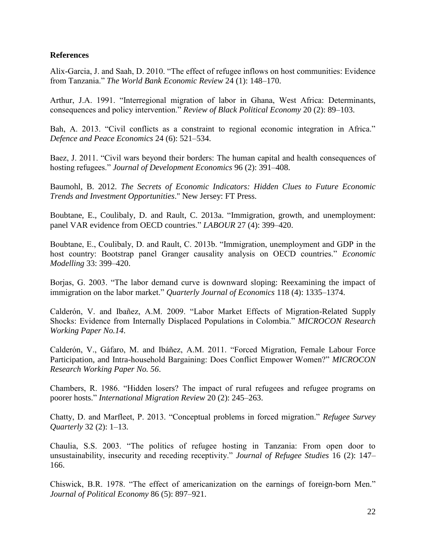#### **References**

Alix-Garcia, J. and Saah, D. 2010. "The effect of refugee inflows on host communities: Evidence from Tanzania." *The World Bank Economic Review* 24 (1): 148–170.

Arthur, J.A. 1991. "Interregional migration of labor in Ghana, West Africa: Determinants, consequences and policy intervention." *Review of Black Political Economy* 20 (2): 89–103.

Bah, A. 2013. "Civil conflicts as a constraint to regional economic integration in Africa." *Defence and Peace Economics* 24 (6): 521–534.

Baez, J. 2011. "Civil wars beyond their borders: The human capital and health consequences of hosting refugees." *Journal of Development Economics* 96 (2): 391–408.

Baumohl, B. 2012. *The Secrets of Economic Indicators: Hidden Clues to Future Economic Trends and Investment Opportunities*." New Jersey: FT Press.

Boubtane, E., Coulibaly, D. and Rault, C. 2013a. "Immigration, growth, and unemployment: panel VAR evidence from OECD countries." *LABOUR* 27 (4): 399–420.

Boubtane, E., Coulibaly, D. and Rault, C. 2013b. "Immigration, unemployment and GDP in the host country: Bootstrap panel Granger causality analysis on OECD countries." *Economic Modelling* 33: 399–420.

Borjas, G. 2003. "The labor demand curve is downward sloping: Reexamining the impact of immigration on the labor market." *Quarterly Journal of Economics* 118 (4): 1335–1374.

Calderón, V. and Ibañez, A.M. 2009. "Labor Market Effects of Migration-Related Supply Shocks: Evidence from Internally Displaced Populations in Colombia." *MICROCON Research Working Paper No.14*.

Calderón, V., Gáfaro, M. and Ibáñez, A.M. 2011. "Forced Migration, Female Labour Force Participation, and Intra-household Bargaining: Does Conflict Empower Women?" *MICROCON Research Working Paper No. 56*.

Chambers, R. 1986. "Hidden losers? The impact of rural refugees and refugee programs on poorer hosts." *International Migration Review* 20 (2): 245–263.

Chatty, D. and Marfleet, P. 2013. "Conceptual problems in forced migration." *Refugee Survey Quarterly* 32 (2): 1–13.

Chaulia, S.S. 2003. "The politics of refugee hosting in Tanzania: From open door to unsustainability, insecurity and receding receptivity." *Journal of Refugee Studies* 16 (2): 147– 166.

Chiswick, B.R. 1978. "The effect of americanization on the earnings of foreign-born Men." *Journal of Political Economy* 86 (5): 897–921.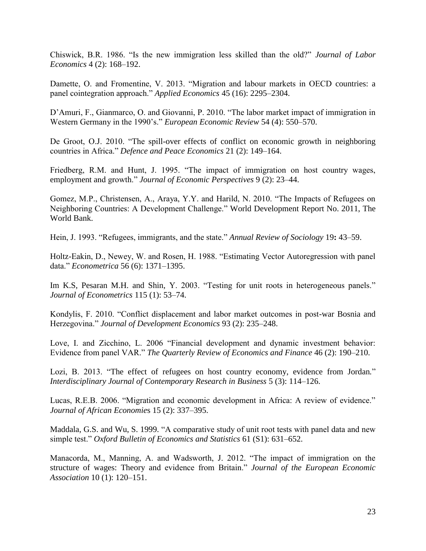Chiswick, B.R. 1986. "Is the new immigration less skilled than the old?" *Journal of Labor Economics* 4 (2): 168–192.

Damette, O. and Fromentine, V. 2013. "Migration and labour markets in OECD countries: a panel cointegration approach." *Applied Economics* 45 (16): 2295–2304.

D'Amuri, F., Gianmarco, O. and Giovanni, P. 2010. "The labor market impact of immigration in Western Germany in the 1990's." *European Economic Review* 54 (4): 550–570.

De Groot, O.J. 2010. "The spill-over effects of conflict on economic growth in neighboring countries in Africa." *Defence and Peace Economics* 21 (2): 149–164.

Friedberg, R.M. and Hunt, J. 1995. "The impact of immigration on host country wages, employment and growth." *Journal of Economic Perspectives* 9 (2): 23–44.

Gomez, M.P., Christensen, A., Araya, Y.Y. and Harild, N. 2010. "The Impacts of Refugees on Neighboring Countries: A Development Challenge." World Development Report No. 2011, The World Bank.

Hein, J. 1993. "Refugees, immigrants, and the state." *Annual Review of Sociology* 19**:** 43–59.

Holtz-Eakin, D., Newey, W. and Rosen, H. 1988. "Estimating Vector Autoregression with panel data." *Econometrica* 56 (6): 1371–1395.

Im K.S, Pesaran M.H. and Shin, Y. 2003. "Testing for unit roots in heterogeneous panels." *Journal of Econometrics* 115 (1): 53–74.

Kondylis, F. 2010. "Conflict displacement and labor market outcomes in post-war Bosnia and Herzegovina." *Journal of Development Economics* 93 (2): 235–248.

Love, I. and Zicchino, L. 2006 "Financial development and dynamic investment behavior: Evidence from panel VAR." *The Quarterly Review of Economics and Finance* 46 (2): 190–210.

Lozi, B. 2013. "The effect of refugees on host country economy, evidence from Jordan*.*" *Interdisciplinary Journal of Contemporary Research in Business* 5 (3): 114–126.

Lucas, R.E.B. 2006. "Migration and economic development in Africa: A review of evidence." *Journal of African Economie*s 15 (2): 337–395.

Maddala, G.S. and Wu, S. 1999. "A comparative study of unit root tests with panel data and new simple test." *Oxford Bulletin of Economics and Statistics* 61 (S1): 631–652.

Manacorda, M., Manning, A. and Wadsworth, J. 2012. "The impact of immigration on the structure of wages: Theory and evidence from Britain." *Journal of the European Economic Association* 10 (1): 120–151.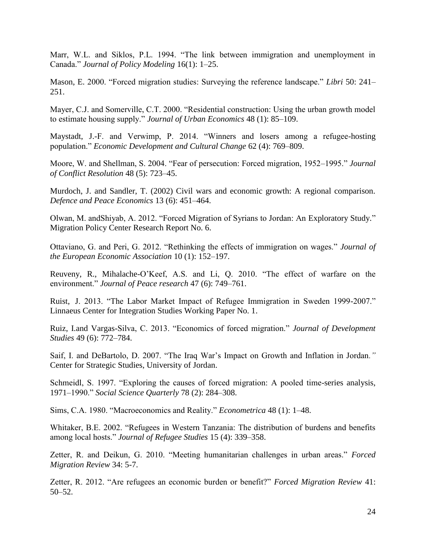Marr, W.L. and Siklos, P.L. 1994. "The link between immigration and unemployment in Canada." *Journal of Policy Modeling* 16(1): 1–25.

Mason, E. 2000. "Forced migration studies: Surveying the reference landscape." *Libri* 50: 241– 251.

Mayer, C.J. and Somerville, C.T. 2000. "Residential construction: Using the urban growth model to estimate housing supply." *Journal of Urban Economics* 48 (1): 85–109.

Maystadt, J.-F. and Verwimp, P. 2014. "Winners and losers among a refugee-hosting population." *Economic Development and Cultural Change* 62 (4): 769–809.

Moore, W. and Shellman, S. 2004. "Fear of persecution: Forced migration, 1952–1995." *Journal of Conflict Resolution* 48 (5): 723–45.

Murdoch, J. and Sandler, T. (2002) Civil wars and economic growth: A regional comparison. *Defence and Peace Economics* 13 (6): 451–464.

Olwan, M. andShiyab, A. 2012. "Forced Migration of Syrians to Jordan: An Exploratory Study*.*" Migration Policy Center Research Report No. 6.

Ottaviano, G. and Peri, G. 2012. "Rethinking the effects of immigration on wages." *Journal of the European Economic Association* 10 (1): 152–197.

Reuveny, R., Mihalache-O'Keef, A.S. and Li, Q. 2010. "The effect of warfare on the environment." *Journal of Peace research* 47 (6): 749–761.

Ruist, J. 2013. "The Labor Market Impact of Refugee Immigration in Sweden 1999-2007." Linnaeus Center for Integration Studies Working Paper No. 1.

Ruiz, I.and Vargas-Silva, C. 2013. "Economics of forced migration." *Journal of Development Studies* 49 (6): 772–784.

Saif, I. and DeBartolo, D. 2007. "The Iraq War's Impact on Growth and Inflation in Jordan*."*  Center for Strategic Studies, University of Jordan.

Schmeidl, S. 1997. "Exploring the causes of forced migration: A pooled time-series analysis, 1971–1990." *Social Science Quarterly* 78 (2): 284–308.

Sims, C.A. 1980. "Macroeconomics and Reality." *Econometrica* 48 (1): 1–48.

Whitaker, B.E. 2002. "Refugees in Western Tanzania: The distribution of burdens and benefits among local hosts." *Journal of Refugee Studies* 15 (4): 339–358.

Zetter, R. and Deikun, G. 2010. "Meeting humanitarian challenges in urban areas." *Forced Migration Review* 34: 5-7.

Zetter, R. 2012. "Are refugees an economic burden or benefit?" *Forced Migration Review* 41: 50–52.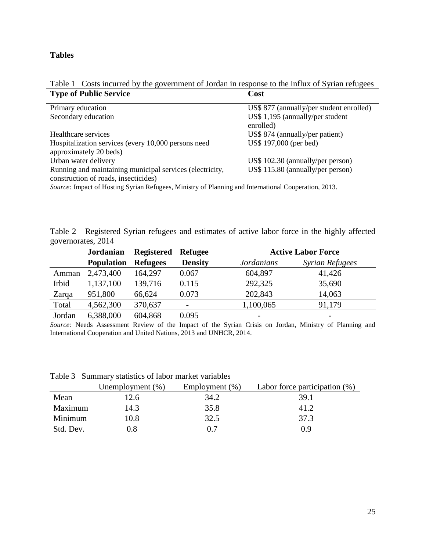#### **Tables**

#### Table 1 Costs incurred by the government of Jordan in response to the influx of Syrian refugees **Type of Public Service Cost**

| US\$ 877 (annually/per student enrolled) |
|------------------------------------------|
| US\$ 1,195 (annually/per student         |
| enrolled)                                |
| US\$ 874 (annually/per patient)          |
| US\$ 197,000 (per bed)                   |
|                                          |
| US\$ 102.30 (annually/per person)        |
| US\$ 115.80 (annually/per person)        |
|                                          |
|                                          |

*Source:* Impact of Hosting Syrian Refugees, Ministry of Planning and International Cooperation, 2013.

Table 2 Registered Syrian refugees and estimates of active labor force in the highly affected governorates, 2014

|        | <b>Jordanian</b>  | <b>Registered</b> | <b>Refugee</b> | <b>Active Labor Force</b> |                          |
|--------|-------------------|-------------------|----------------|---------------------------|--------------------------|
|        | <b>Population</b> | <b>Refugees</b>   | <b>Density</b> | <b>Jordanians</b>         | <b>Syrian Refugees</b>   |
| Amman  | 2,473,400         | 164,297           | 0.067          | 604,897                   | 41,426                   |
| Irbid  | 1,137,100         | 139,716           | 0.115          | 292,325                   | 35,690                   |
| Zarqa  | 951,800           | 66,624            | 0.073          | 202,843                   | 14,063                   |
| Total  | 4,562,300         | 370,637           |                | 1,100,065                 | 91,179                   |
| Jordan | 6,388,000         | 604,868           | 0.095          | -                         | $\overline{\phantom{0}}$ |

*Source:* Needs Assessment Review of the Impact of the Syrian Crisis on Jordan, Ministry of Planning and International Cooperation and United Nations, 2013 and UNHCR, 2014.

|           | Unemployment $(\%)$ | Employment $(\%)$ | Labor force participation $(\%)$ |  |  |  |  |  |
|-----------|---------------------|-------------------|----------------------------------|--|--|--|--|--|
| Mean      | 2.6                 | 34.2              | 39.1                             |  |  |  |  |  |
| Maximum   | 14.3                | 35.8              | 41.2                             |  |  |  |  |  |
| Minimum   | 10.8                | 32.5              | 37.3                             |  |  |  |  |  |
| Std. Dev. | 9.8                 | 07                | በ ዓ                              |  |  |  |  |  |

Table 3 Summary statistics of labor market variables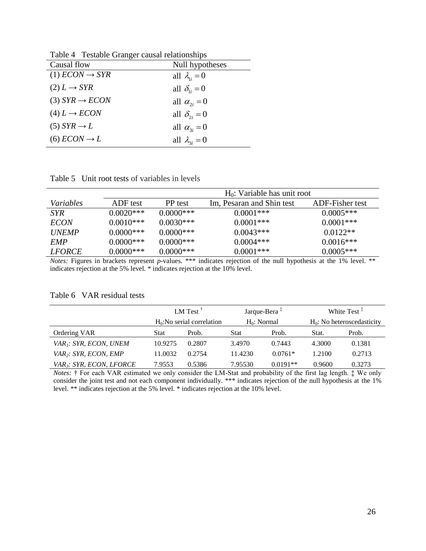| raone i restatore changer causai relationships |                        |  |  |  |  |
|------------------------------------------------|------------------------|--|--|--|--|
| Causal flow                                    | Null hypotheses        |  |  |  |  |
| $(1) ECON \rightarrow SYR$                     | all $\lambda_i = 0$    |  |  |  |  |
| $(2) L \rightarrow SYR$                        | all $\delta_{ii} = 0$  |  |  |  |  |
| $(3) SYR \rightarrow ECON$                     | all $\alpha_{2i} = 0$  |  |  |  |  |
| $(4) L \rightarrow ECON$                       | all $\delta_{2i} = 0$  |  |  |  |  |
| $(5)$ SYR $\rightarrow$ L                      | all $\alpha_{3i} = 0$  |  |  |  |  |
| $(6) ECON \rightarrow L$                       | all $\lambda_{3i} = 0$ |  |  |  |  |
|                                                |                        |  |  |  |  |

Table 4Testable Granger causal relationships

Table 5 Unit root tests of variables in levels

|                  |             | $H_0$ : Variable has unit root |                           |                 |  |  |  |
|------------------|-------------|--------------------------------|---------------------------|-----------------|--|--|--|
| <i>Variables</i> | ADF test    | PP test                        | Im, Pesaran and Shin test | ADF-Fisher test |  |  |  |
| <i>SYR</i>       | $0.0020***$ | $0.0000$ ***                   | $0.0001***$               | $0.0005***$     |  |  |  |
| <i>ECON</i>      | $0.0010***$ | $0.0030***$                    | $0.0001$ ***              | $0.0001***$     |  |  |  |
| <b>UNEMP</b>     | $0.0000***$ | $0.0000***$                    | $0.0043***$               | $0.0122**$      |  |  |  |
| <b>EMP</b>       | $0.0000***$ | $0.0000***$                    | $0.0004***$               | $0.0016***$     |  |  |  |
| <i>LFORCE</i>    | $0.0000***$ | $0.0000***$                    | $0.0001***$               | $0.0005***$     |  |  |  |

*Notes:* Figures in brackets represent *p*-values. \*\*\* indicates rejection of the null hypothesis at the 1% level. \*\* indicates rejection at the 5% level. \* indicates rejection at the 10% level.

Table 6 VAR residual tests

|                                           | LM Test <sup><math>\dagger</math></sup><br>$H_0$ : No serial correlation |        | Jarque-Bera <sup>‡</sup><br>$H_0$ : Normal |            | White Test <sup><math>\ddagger</math></sup> |        |
|-------------------------------------------|--------------------------------------------------------------------------|--------|--------------------------------------------|------------|---------------------------------------------|--------|
|                                           |                                                                          |        |                                            |            | $H_0$ : No heteroscedasticity               |        |
| Ordering VAR                              | <b>Stat</b>                                                              | Prob.  | <b>Stat</b>                                | Prob.      | Stat.                                       | Prob.  |
| VAR <sub>1</sub> : SYR, ECON, UNEM        | 10.9275                                                                  | 0.2807 | 3.4970                                     | 0.7443     | 4.3000                                      | 0.1381 |
| VAR <sub>2</sub> : SYR, ECON, EMP         | 11.0032                                                                  | 0.2754 | 11.4230                                    | $0.0761*$  | 1.2100                                      | 0.2713 |
| <i>VAR<sub>3</sub>: SYR, ECON, LFORCE</i> | 7.9553                                                                   | 0.5386 | 7.95530                                    | $0.0191**$ | 0.9600                                      | 0.3273 |

*Notes:* † For each VAR estimated we only consider the LM-Stat and probability of the first lag length. ‡ We only consider the joint test and not each component individually. \*\*\* indicates rejection of the null hypothesis at the 1% level. \*\* indicates rejection at the 5% level. \* indicates rejection at the 10% level.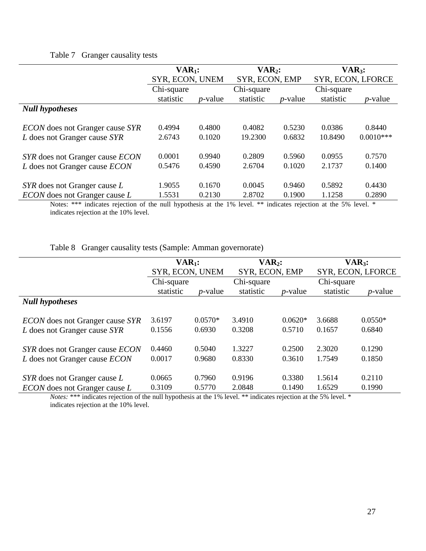### Table 7 Granger causality tests

|                                        | $VAR1$ :        |            | $VAR2$ :   |                | $VAR_3$ :  |                   |
|----------------------------------------|-----------------|------------|------------|----------------|------------|-------------------|
|                                        | SYR, ECON, UNEM |            |            | SYR, ECON, EMP |            | SYR, ECON, LFORCE |
|                                        | Chi-square      |            | Chi-square |                | Chi-square |                   |
|                                        | statistic       | $p$ -value | statistic  | $p$ -value     | statistic  | $p$ -value        |
| <b>Null hypotheses</b>                 |                 |            |            |                |            |                   |
|                                        |                 |            |            |                |            |                   |
| <i>ECON</i> does not Granger cause SYR | 0.4994          | 0.4800     | 0.4082     | 0.5230         | 0.0386     | 0.8440            |
| L does not Granger cause SYR           | 2.6743          | 0.1020     | 19.2300    | 0.6832         | 10.8490    | $0.0010***$       |
| SYR does not Granger cause ECON        | 0.0001          | 0.9940     | 0.2809     | 0.5960         | 0.0955     | 0.7570            |
| L does not Granger cause ECON          | 0.5476          | 0.4590     | 2.6704     | 0.1020         | 2.1737     | 0.1400            |
|                                        |                 |            |            |                |            |                   |
| SYR does not Granger cause L           | 1.9055          | 0.1670     | 0.0045     | 0.9460         | 0.5892     | 0.4430            |
| <i>ECON</i> does not Granger cause L   | 1.5531          | 0.2130     | 2.8702     | 0.1900         | 1.1258     | 0.2890            |

Notes: \*\*\* indicates rejection of the null hypothesis at the 1% level. \*\* indicates rejection at the 5% level. \* indicates rejection at the 10% level.

Table 8 Granger causality tests (Sample: Amman governorate)

|                                                                                | $VAR_1$ :        |                     | $VAR2$ :         |                     | $VAR3$ :         |                     |  |
|--------------------------------------------------------------------------------|------------------|---------------------|------------------|---------------------|------------------|---------------------|--|
|                                                                                | SYR, ECON, UNEM  |                     |                  | SYR, ECON, EMP      |                  | SYR, ECON, LFORCE   |  |
|                                                                                | Chi-square       |                     | Chi-square       |                     | Chi-square       |                     |  |
|                                                                                | statistic        | $p$ -value          | statistic        | $p$ -value          | statistic        | $p$ -value          |  |
| <b>Null hypotheses</b>                                                         |                  |                     |                  |                     |                  |                     |  |
| <i>ECON</i> does not Granger cause <i>SYR</i><br>L does not Granger cause SYR  | 3.6197<br>0.1556 | $0.0570*$<br>0.6930 | 3.4910<br>0.3208 | $0.0620*$<br>0.5710 | 3.6688<br>0.1657 | $0.0550*$<br>0.6840 |  |
| SYR does not Granger cause <i>ECON</i><br>L does not Granger cause <i>ECON</i> | 0.4460<br>0.0017 | 0.5040<br>0.9680    | 1.3227<br>0.8330 | 0.2500<br>0.3610    | 2.3020<br>1.7549 | 0.1290<br>0.1850    |  |
| SYR does not Granger cause L<br><i>ECON</i> does not Granger cause L           | 0.0665<br>0.3109 | 0.7960<br>0.5770    | 0.9196<br>2.0848 | 0.3380<br>0.1490    | 1.5614<br>1.6529 | 0.2110<br>0.1990    |  |

*Notes:* \*\*\* indicates rejection of the null hypothesis at the 1% level. \*\* indicates rejection at the 5% level. \* indicates rejection at the 10% level.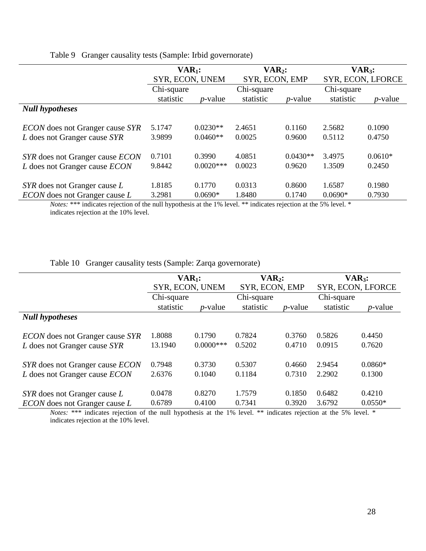Table 9 Granger causality tests (Sample: Irbid governorate)

|                                               | $VAR1$ :        |             | $VAR2$ :       |            | $VAR_3$ :         |            |
|-----------------------------------------------|-----------------|-------------|----------------|------------|-------------------|------------|
|                                               | SYR, ECON, UNEM |             | SYR, ECON, EMP |            | SYR, ECON, LFORCE |            |
|                                               | Chi-square      |             | Chi-square     |            | Chi-square        |            |
|                                               | statistic       | $p$ -value  | statistic      | $p$ -value | statistic         | $p$ -value |
| <b>Null hypotheses</b>                        |                 |             |                |            |                   |            |
| <i>ECON</i> does not Granger cause <i>SYR</i> | 5.1747          | $0.0230**$  | 2.4651         | 0.1160     | 2.5682            | 0.1090     |
| L does not Granger cause SYR                  | 3.9899          | $0.0460**$  | 0.0025         | 0.9600     | 0.5112            | 0.4750     |
| SYR does not Granger cause ECON               | 0.7101          | 0.3990      | 4.0851         | $0.0430**$ | 3.4975            | $0.0610*$  |
| L does not Granger cause ECON                 | 9.8442          | $0.0020***$ | 0.0023         | 0.9620     | 1.3509            | 0.2450     |
| SYR does not Granger cause L                  | 1.8185          | 0.1770      | 0.0313         | 0.8600     | 1.6587            | 0.1980     |
| <i>ECON</i> does not Granger cause L          | 3.2981          | $0.0690*$   | 1.8480         | 0.1740     | $0.0690*$         | 0.7930     |

*Notes:* \*\*\* indicates rejection of the null hypothesis at the 1% level. \*\* indicates rejection at the 5% level. \* indicates rejection at the 10% level.

|  |  | Table 10 Granger causality tests (Sample: Zarqa governorate) |  |  |  |
|--|--|--------------------------------------------------------------|--|--|--|
|--|--|--------------------------------------------------------------|--|--|--|

|                                               | $VAR1$ :        |              | $VAR2$ :       |            | $VAR3$ :          |                 |
|-----------------------------------------------|-----------------|--------------|----------------|------------|-------------------|-----------------|
|                                               | SYR, ECON, UNEM |              | SYR, ECON, EMP |            | SYR, ECON, LFORCE |                 |
|                                               | Chi-square      |              | Chi-square     |            | Chi-square        |                 |
|                                               | statistic       | $p$ -value   | statistic      | $p$ -value | statistic         | <i>p</i> -value |
| <b>Null hypotheses</b>                        |                 |              |                |            |                   |                 |
| <i>ECON</i> does not Granger cause <i>SYR</i> | .8088           | 0.1790       | 0.7824         | 0.3760     | 0.5826            | 0.4450          |
| L does not Granger cause SYR                  | 13.1940         | $0.0000$ *** | 0.5202         | 0.4710     | 0.0915            | 0.7620          |
| SYR does not Granger cause <i>ECON</i>        | 0.7948          | 0.3730       | 0.5307         | 0.4660     | 2.9454            | $0.0860*$       |
| L does not Granger cause <i>ECON</i>          | 2.6376          | 0.1040       | 0.1184         | 0.7310     | 2.2902            | 0.1300          |
| SYR does not Granger cause L                  | 0.0478          | 0.8270       | 1.7579         | 0.1850     | 0.6482            | 0.4210          |
| <i>ECON</i> does not Granger cause L          | 0.6789          | 0.4100       | 0.7341         | 0.3920     | 3.6792            | $0.0550*$       |

*Notes:* \*\*\* indicates rejection of the null hypothesis at the 1% level. \*\* indicates rejection at the 5% level. \* indicates rejection at the 10% level.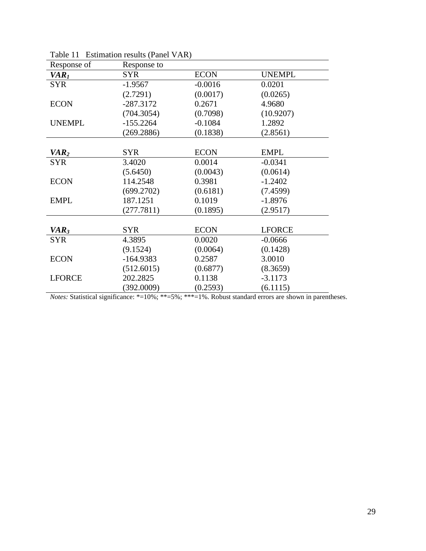| Response of      | Response to |             |               |
|------------------|-------------|-------------|---------------|
| VAR <sub>I</sub> | <b>SYR</b>  | <b>ECON</b> | <b>UNEMPL</b> |
| <b>SYR</b>       | $-1.9567$   | $-0.0016$   | 0.0201        |
|                  | (2.7291)    | (0.0017)    | (0.0265)      |
| <b>ECON</b>      | $-287.3172$ | 0.2671      | 4.9680        |
|                  | (704.3054)  | (0.7098)    | (10.9207)     |
| <b>UNEMPL</b>    | $-155.2264$ | $-0.1084$   | 1.2892        |
|                  | (269.2886)  | (0.1838)    | (2.8561)      |
|                  |             |             |               |
| VAR <sub>2</sub> | <b>SYR</b>  | <b>ECON</b> | <b>EMPL</b>   |
| <b>SYR</b>       | 3.4020      | 0.0014      | $-0.0341$     |
|                  | (5.6450)    | (0.0043)    | (0.0614)      |
| <b>ECON</b>      | 114.2548    | 0.3981      | $-1.2402$     |
|                  | (699.2702)  | (0.6181)    | (7.4599)      |
| <b>EMPL</b>      | 187.1251    | 0.1019      | $-1.8976$     |
|                  | (277.7811)  | (0.1895)    | (2.9517)      |
|                  |             |             |               |
| VAR <sub>3</sub> | <b>SYR</b>  | <b>ECON</b> | <b>LFORCE</b> |
| <b>SYR</b>       | 4.3895      | 0.0020      | $-0.0666$     |
|                  | (9.1524)    | (0.0064)    | (0.1428)      |
| <b>ECON</b>      | $-164.9383$ | 0.2587      | 3.0010        |
|                  | (512.6015)  | (0.6877)    | (8.3659)      |
| <b>LFORCE</b>    | 202.2825    | 0.1138      | $-3.1173$     |
|                  | (392.0009)  | (0.2593)    | (6.1115)      |

Table 11 Estimation results (Panel VAR)

*Notes:* Statistical significance: \*=10%; \*\*=5%; \*\*\*=1%. Robust standard errors are shown in parentheses.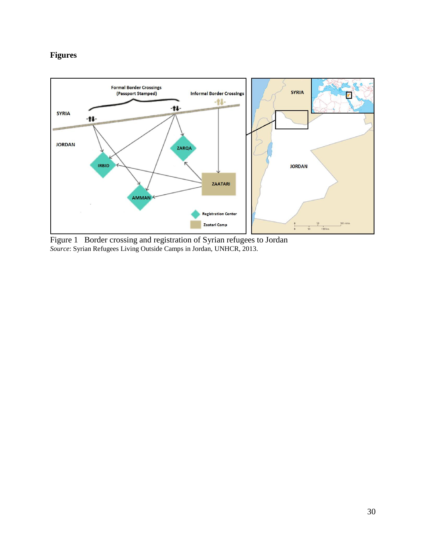### **Figures**



Figure 1 Border crossing and registration of Syrian refugees to Jordan *Source*: Syrian Refugees Living Outside Camps in Jordan, UNHCR, 2013.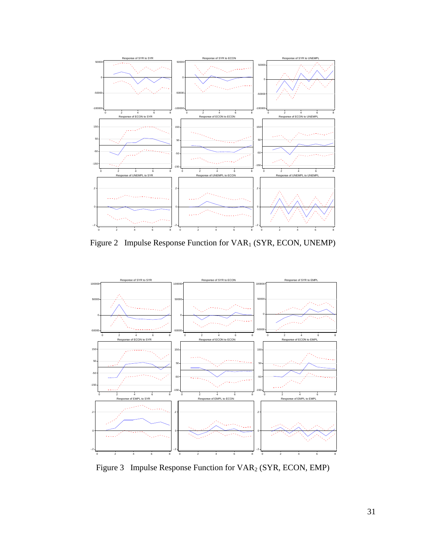

Figure 2 Impulse Response Function for VAR<sub>1</sub> (SYR, ECON, UNEMP)



Figure 3 Impulse Response Function for VAR<sub>2</sub> (SYR, ECON, EMP)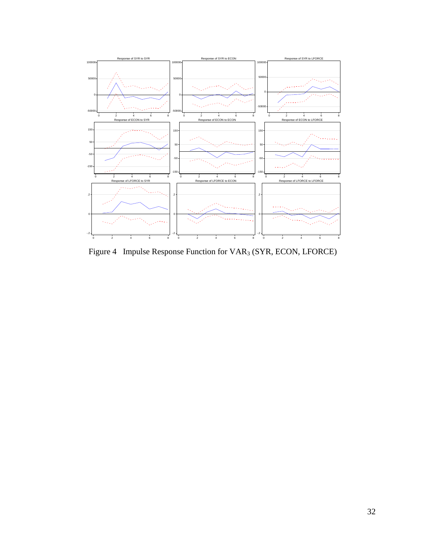

Figure 4 Impulse Response Function for VAR<sub>3</sub> (SYR, ECON, LFORCE)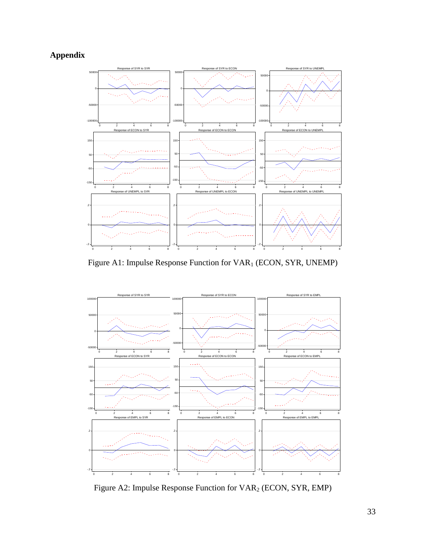# **Appendix**



Figure A1: Impulse Response Function for VAR<sub>1</sub> (ECON, SYR, UNEMP)



Figure A2: Impulse Response Function for VAR<sup>2</sup> (ECON, SYR, EMP)